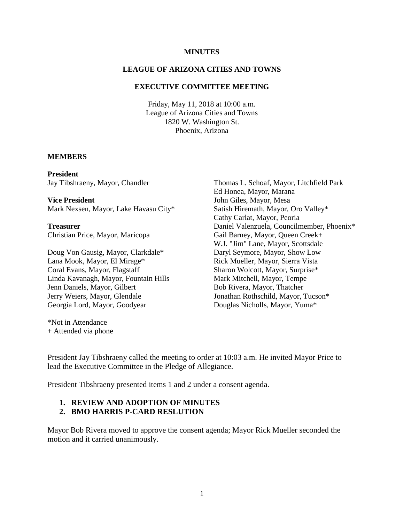#### **MINUTES**

### **LEAGUE OF ARIZONA CITIES AND TOWNS**

#### **EXECUTIVE COMMITTEE MEETING**

Friday, May 11, 2018 at 10:00 a.m. League of Arizona Cities and Towns 1820 W. Washington St. Phoenix, Arizona

#### **MEMBERS**

**President** Jay Tibshraeny, Mayor, Chandler

**Vice President** Mark Nexsen, Mayor, Lake Havasu City\*

**Treasurer** Christian Price, Mayor, Maricopa

Doug Von Gausig, Mayor, Clarkdale\* Lana Mook, Mayor, El Mirage\* Coral Evans, Mayor, Flagstaff Linda Kavanagh, Mayor, Fountain Hills Jenn Daniels, Mayor, Gilbert Jerry Weiers, Mayor, Glendale Georgia Lord, Mayor, Goodyear

\*Not in Attendance + Attended via phone

Thomas L. Schoaf, Mayor, Litchfield Park Ed Honea, Mayor, Marana John Giles, Mayor, Mesa Satish Hiremath, Mayor, Oro Valley\* Cathy Carlat, Mayor, Peoria Daniel Valenzuela, Councilmember, Phoenix\* Gail Barney, Mayor, Queen Creek+ W.J. "Jim" Lane, Mayor, Scottsdale Daryl Seymore, Mayor, Show Low Rick Mueller, Mayor, Sierra Vista Sharon Wolcott, Mayor, Surprise\* Mark Mitchell, Mayor, Tempe Bob Rivera, Mayor, Thatcher Jonathan Rothschild, Mayor, Tucson\* Douglas Nicholls, Mayor, Yuma\*

President Jay Tibshraeny called the meeting to order at 10:03 a.m. He invited Mayor Price to lead the Executive Committee in the Pledge of Allegiance.

President Tibshraeny presented items 1 and 2 under a consent agenda.

## **1. REVIEW AND ADOPTION OF MINUTES**

#### **2. BMO HARRIS P-CARD RESLUTION**

Mayor Bob Rivera moved to approve the consent agenda; Mayor Rick Mueller seconded the motion and it carried unanimously.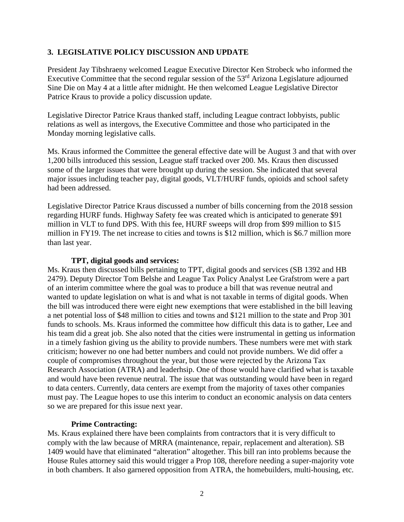## **3. LEGISLATIVE POLICY DISCUSSION AND UPDATE**

President Jay Tibshraeny welcomed League Executive Director Ken Strobeck who informed the Executive Committee that the second regular session of the  $53<sup>rd</sup>$  Arizona Legislature adjourned Sine Die on May 4 at a little after midnight. He then welcomed League Legislative Director Patrice Kraus to provide a policy discussion update.

Legislative Director Patrice Kraus thanked staff, including League contract lobbyists, public relations as well as intergovs, the Executive Committee and those who participated in the Monday morning legislative calls.

Ms. Kraus informed the Committee the general effective date will be August 3 and that with over 1,200 bills introduced this session, League staff tracked over 200. Ms. Kraus then discussed some of the larger issues that were brought up during the session. She indicated that several major issues including teacher pay, digital goods, VLT/HURF funds, opioids and school safety had been addressed.

Legislative Director Patrice Kraus discussed a number of bills concerning from the 2018 session regarding HURF funds. Highway Safety fee was created which is anticipated to generate \$91 million in VLT to fund DPS. With this fee, HURF sweeps will drop from \$99 million to \$15 million in FY19. The net increase to cities and towns is \$12 million, which is \$6.7 million more than last year.

#### **TPT, digital goods and services:**

Ms. Kraus then discussed bills pertaining to TPT, digital goods and services (SB 1392 and HB 2479). Deputy Director Tom Belshe and League Tax Policy Analyst Lee Grafstrom were a part of an interim committee where the goal was to produce a bill that was revenue neutral and wanted to update legislation on what is and what is not taxable in terms of digital goods. When the bill was introduced there were eight new exemptions that were established in the bill leaving a net potential loss of \$48 million to cities and towns and \$121 million to the state and Prop 301 funds to schools. Ms. Kraus informed the committee how difficult this data is to gather, Lee and his team did a great job. She also noted that the cities were instrumental in getting us information in a timely fashion giving us the ability to provide numbers. These numbers were met with stark criticism; however no one had better numbers and could not provide numbers. We did offer a couple of compromises throughout the year, but those were rejected by the Arizona Tax Research Association (ATRA) and leaderhsip. One of those would have clarified what is taxable and would have been revenue neutral. The issue that was outstanding would have been in regard to data centers. Currently, data centers are exempt from the majority of taxes other companies must pay. The League hopes to use this interim to conduct an economic analysis on data centers so we are prepared for this issue next year.

### **Prime Contracting:**

Ms. Kraus explained there have been complaints from contractors that it is very difficult to comply with the law because of MRRA (maintenance, repair, replacement and alteration). SB 1409 would have that eliminated "alteration" altogether. This bill ran into problems because the House Rules attorney said this would trigger a Prop 108, therefore needing a super-majority vote in both chambers. It also garnered opposition from ATRA, the homebuilders, multi-housing, etc.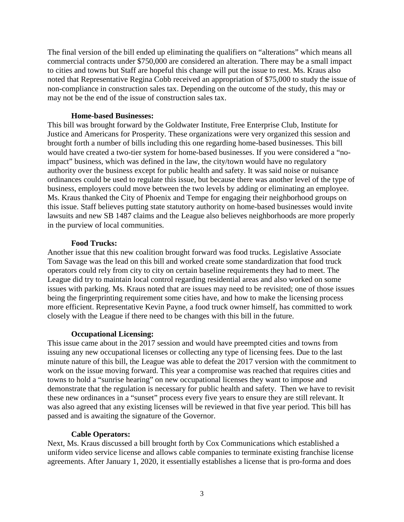The final version of the bill ended up eliminating the qualifiers on "alterations" which means all commercial contracts under \$750,000 are considered an alteration. There may be a small impact to cities and towns but Staff are hopeful this change will put the issue to rest. Ms. Kraus also noted that Representative Regina Cobb received an appropriation of \$75,000 to study the issue of non-compliance in construction sales tax. Depending on the outcome of the study, this may or may not be the end of the issue of construction sales tax.

### **Home-based Businesses:**

This bill was brought forward by the Goldwater Institute, Free Enterprise Club, Institute for Justice and Americans for Prosperity. These organizations were very organized this session and brought forth a number of bills including this one regarding home-based businesses. This bill would have created a two-tier system for home-based businesses. If you were considered a "noimpact" business, which was defined in the law, the city/town would have no regulatory authority over the business except for public health and safety. It was said noise or nuisance ordinances could be used to regulate this issue, but because there was another level of the type of business, employers could move between the two levels by adding or eliminating an employee. Ms. Kraus thanked the City of Phoenix and Tempe for engaging their neighborhood groups on this issue. Staff believes putting state statutory authority on home-based businesses would invite lawsuits and new SB 1487 claims and the League also believes neighborhoods are more properly in the purview of local communities.

# **Food Trucks:**

Another issue that this new coalition brought forward was food trucks. Legislative Associate Tom Savage was the lead on this bill and worked create some standardization that food truck operators could rely from city to city on certain baseline requirements they had to meet. The League did try to maintain local control regarding residential areas and also worked on some issues with parking. Ms. Kraus noted that are issues may need to be revisited; one of those issues being the fingerprinting requirement some cities have, and how to make the licensing process more efficient. Representative Kevin Payne, a food truck owner himself, has committed to work closely with the League if there need to be changes with this bill in the future.

# **Occupational Licensing:**

This issue came about in the 2017 session and would have preempted cities and towns from issuing any new occupational licenses or collecting any type of licensing fees. Due to the last minute nature of this bill, the League was able to defeat the 2017 version with the commitment to work on the issue moving forward. This year a compromise was reached that requires cities and towns to hold a "sunrise hearing" on new occupational licenses they want to impose and demonstrate that the regulation is necessary for public health and safety. Then we have to revisit these new ordinances in a "sunset" process every five years to ensure they are still relevant. It was also agreed that any existing licenses will be reviewed in that five year period. This bill has passed and is awaiting the signature of the Governor.

# **Cable Operators:**

Next, Ms. Kraus discussed a bill brought forth by Cox Communications which established a uniform video service license and allows cable companies to terminate existing franchise license agreements. After January 1, 2020, it essentially establishes a license that is pro-forma and does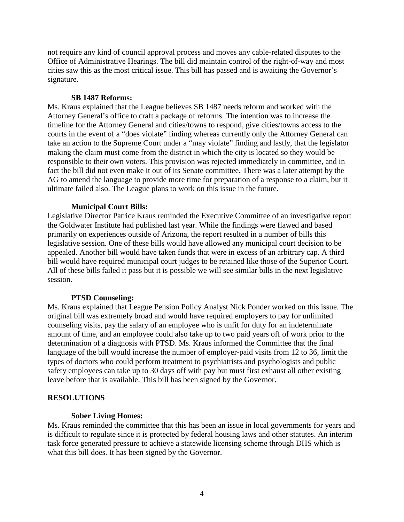not require any kind of council approval process and moves any cable-related disputes to the Office of Administrative Hearings. The bill did maintain control of the right-of-way and most cities saw this as the most critical issue. This bill has passed and is awaiting the Governor's signature.

### **SB 1487 Reforms:**

Ms. Kraus explained that the League believes SB 1487 needs reform and worked with the Attorney General's office to craft a package of reforms. The intention was to increase the timeline for the Attorney General and cities/towns to respond, give cities/towns access to the courts in the event of a "does violate" finding whereas currently only the Attorney General can take an action to the Supreme Court under a "may violate" finding and lastly, that the legislator making the claim must come from the district in which the city is located so they would be responsible to their own voters. This provision was rejected immediately in committee, and in fact the bill did not even make it out of its Senate committee. There was a later attempt by the AG to amend the language to provide more time for preparation of a response to a claim, but it ultimate failed also. The League plans to work on this issue in the future.

## **Municipal Court Bills:**

Legislative Director Patrice Kraus reminded the Executive Committee of an investigative report the Goldwater Institute had published last year. While the findings were flawed and based primarily on experiences outside of Arizona, the report resulted in a number of bills this legislative session. One of these bills would have allowed any municipal court decision to be appealed. Another bill would have taken funds that were in excess of an arbitrary cap. A third bill would have required municipal court judges to be retained like those of the Superior Court. All of these bills failed it pass but it is possible we will see similar bills in the next legislative session.

# **PTSD Counseling:**

Ms. Kraus explained that League Pension Policy Analyst Nick Ponder worked on this issue. The original bill was extremely broad and would have required employers to pay for unlimited counseling visits, pay the salary of an employee who is unfit for duty for an indeterminate amount of time, and an employee could also take up to two paid years off of work prior to the determination of a diagnosis with PTSD. Ms. Kraus informed the Committee that the final language of the bill would increase the number of employer-paid visits from 12 to 36, limit the types of doctors who could perform treatment to psychiatrists and psychologists and public safety employees can take up to 30 days off with pay but must first exhaust all other existing leave before that is available. This bill has been signed by the Governor.

### **RESOLUTIONS**

### **Sober Living Homes:**

Ms. Kraus reminded the committee that this has been an issue in local governments for years and is difficult to regulate since it is protected by federal housing laws and other statutes. An interim task force generated pressure to achieve a statewide licensing scheme through DHS which is what this bill does. It has been signed by the Governor.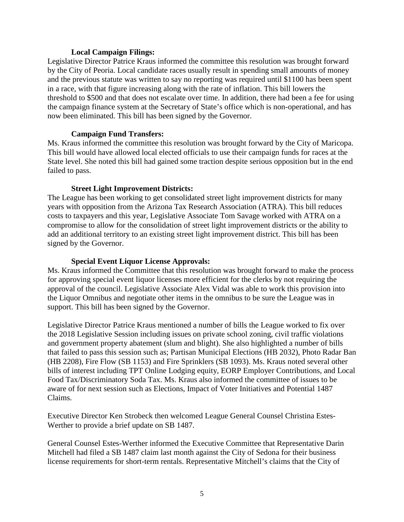#### **Local Campaign Filings:**

Legislative Director Patrice Kraus informed the committee this resolution was brought forward by the City of Peoria. Local candidate races usually result in spending small amounts of money and the previous statute was written to say no reporting was required until \$1100 has been spent in a race, with that figure increasing along with the rate of inflation. This bill lowers the threshold to \$500 and that does not escalate over time. In addition, there had been a fee for using the campaign finance system at the Secretary of State's office which is non-operational, and has now been eliminated. This bill has been signed by the Governor.

### **Campaign Fund Transfers:**

Ms. Kraus informed the committee this resolution was brought forward by the City of Maricopa. This bill would have allowed local elected officials to use their campaign funds for races at the State level. She noted this bill had gained some traction despite serious opposition but in the end failed to pass.

### **Street Light Improvement Districts:**

The League has been working to get consolidated street light improvement districts for many years with opposition from the Arizona Tax Research Association (ATRA). This bill reduces costs to taxpayers and this year, Legislative Associate Tom Savage worked with ATRA on a compromise to allow for the consolidation of street light improvement districts or the ability to add an additional territory to an existing street light improvement district. This bill has been signed by the Governor.

#### **Special Event Liquor License Approvals:**

Ms. Kraus informed the Committee that this resolution was brought forward to make the process for approving special event liquor licenses more efficient for the clerks by not requiring the approval of the council. Legislative Associate Alex Vidal was able to work this provision into the Liquor Omnibus and negotiate other items in the omnibus to be sure the League was in support. This bill has been signed by the Governor.

Legislative Director Patrice Kraus mentioned a number of bills the League worked to fix over the 2018 Legislative Session including issues on private school zoning, civil traffic violations and government property abatement (slum and blight). She also highlighted a number of bills that failed to pass this session such as; Partisan Municipal Elections (HB 2032), Photo Radar Ban (HB 2208), Fire Flow (SB 1153) and Fire Sprinklers (SB 1093). Ms. Kraus noted several other bills of interest including TPT Online Lodging equity, EORP Employer Contributions, and Local Food Tax/Discriminatory Soda Tax. Ms. Kraus also informed the committee of issues to be aware of for next session such as Elections, Impact of Voter Initiatives and Potential 1487 Claims.

Executive Director Ken Strobeck then welcomed League General Counsel Christina Estes-Werther to provide a brief update on SB 1487.

General Counsel Estes-Werther informed the Executive Committee that Representative Darin Mitchell had filed a SB 1487 claim last month against the City of Sedona for their business license requirements for short-term rentals. Representative Mitchell's claims that the City of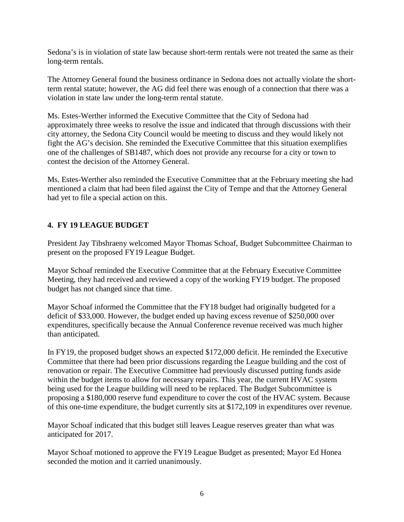Sedona's is in violation of state law because short-term rentals were not treated the same as their long-term rentals.

The Attorney General found the business ordinance in Sedona does not actually violate the shortterm rental statute; however, the AG did feel there was enough of a connection that there was a violation in state law under the long-term rental statute.

Ms. Estes-Werther informed the Executive Committee that the City of Sedona had approximately three weeks to resolve the issue and indicated that through discussions with their city attorney, the Sedona City Council would be meeting to discuss and they would likely not fight the AG's decision. She reminded the Executive Committee that this situation exemplifies one of the challenges of SB1487, which does not provide any recourse for a city or town to contest the decision of the Attorney General.

Ms. Estes-Werther also reminded the Executive Committee that at the February meeting she had mentioned a claim that had been filed against the City of Tempe and that the Attorney General had yet to file a special action on this.

# **4. FY 19 LEAGUE BUDGET**

President Jay Tibshraeny welcomed Mayor Thomas Schoaf, Budget Subcommittee Chairman to present on the proposed FY19 League Budget.

Mayor Schoaf reminded the Executive Committee that at the February Executive Committee Meeting, they had received and reviewed a copy of the working FY19 budget. The proposed budget has not changed since that time.

Mayor Schoaf informed the Committee that the FY18 budget had originally budgeted for a deficit of \$33,000. However, the budget ended up having excess revenue of \$250,000 over expenditures, specifically because the Annual Conference revenue received was much higher than anticipated.

In FY19, the proposed budget shows an expected \$172,000 deficit. He reminded the Executive Committee that there had been prior discussions regarding the League building and the cost of renovation or repair. The Executive Committee had previously discussed putting funds aside within the budget items to allow for necessary repairs. This year, the current HVAC system being used for the League building will need to be replaced. The Budget Subcommittee is proposing a \$180,000 reserve fund expenditure to cover the cost of the HVAC system. Because of this one-time expenditure, the budget currently sits at \$172,109 in expenditures over revenue.

Mayor Schoaf indicated that this budget still leaves League reserves greater than what was anticipated for 2017.

Mayor Schoaf motioned to approve the FY19 League Budget as presented; Mayor Ed Honea seconded the motion and it carried unanimously.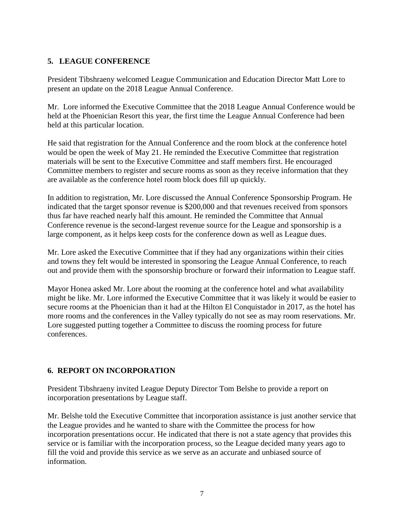# **5. LEAGUE CONFERENCE**

President Tibshraeny welcomed League Communication and Education Director Matt Lore to present an update on the 2018 League Annual Conference.

Mr. Lore informed the Executive Committee that the 2018 League Annual Conference would be held at the Phoenician Resort this year, the first time the League Annual Conference had been held at this particular location.

He said that registration for the Annual Conference and the room block at the conference hotel would be open the week of May 21. He reminded the Executive Committee that registration materials will be sent to the Executive Committee and staff members first. He encouraged Committee members to register and secure rooms as soon as they receive information that they are available as the conference hotel room block does fill up quickly.

In addition to registration, Mr. Lore discussed the Annual Conference Sponsorship Program. He indicated that the target sponsor revenue is \$200,000 and that revenues received from sponsors thus far have reached nearly half this amount. He reminded the Committee that Annual Conference revenue is the second-largest revenue source for the League and sponsorship is a large component, as it helps keep costs for the conference down as well as League dues.

Mr. Lore asked the Executive Committee that if they had any organizations within their cities and towns they felt would be interested in sponsoring the League Annual Conference, to reach out and provide them with the sponsorship brochure or forward their information to League staff.

Mayor Honea asked Mr. Lore about the rooming at the conference hotel and what availability might be like. Mr. Lore informed the Executive Committee that it was likely it would be easier to secure rooms at the Phoenician than it had at the Hilton El Conquistador in 2017, as the hotel has more rooms and the conferences in the Valley typically do not see as may room reservations. Mr. Lore suggested putting together a Committee to discuss the rooming process for future conferences.

# **6. REPORT ON INCORPORATION**

President Tibshraeny invited League Deputy Director Tom Belshe to provide a report on incorporation presentations by League staff.

Mr. Belshe told the Executive Committee that incorporation assistance is just another service that the League provides and he wanted to share with the Committee the process for how incorporation presentations occur. He indicated that there is not a state agency that provides this service or is familiar with the incorporation process, so the League decided many years ago to fill the void and provide this service as we serve as an accurate and unbiased source of information.